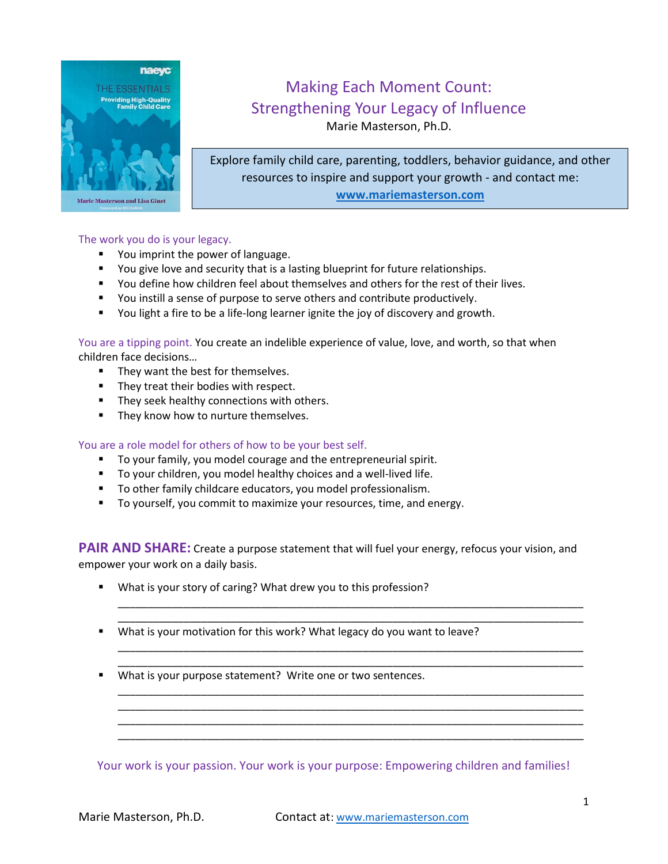

# Making Each Moment Count: Strengthening Your Legacy of Influence Marie Masterson, Ph.D.

Explore family child care, parenting, toddlers, behavior guidance, and other resources to inspire and support your growth - and contact me: **[www.mariemasterson.com](http://www.mariemasterson.com/)**

### The work you do is your legacy.

- You imprint the power of language.
- **The Studie View Covers** You give love and security that is a lasting blueprint for future relationships.
- You define how children feel about themselves and others for the rest of their lives.
- You instill a sense of purpose to serve others and contribute productively.
- You light a fire to be a life-long learner ignite the joy of discovery and growth.

You are a tipping point. You create an indelible experience of value, love, and worth, so that when children face decisions…

- **They want the best for themselves.**
- **They treat their bodies with respect.**
- **They seek healthy connections with others.**
- **They know how to nurture themselves.**

#### You are a role model for others of how to be your best self.

- To your family, you model courage and the entrepreneurial spirit.
- To your children, you model healthy choices and a well-lived life.
- To other family childcare educators, you model professionalism.
- To yourself, you commit to maximize your resources, time, and energy.

**PAIR AND SHARE:** Create a purpose statement that will fuel your energy, refocus your vision, and empower your work on a daily basis.

\_\_\_\_\_\_\_\_\_\_\_\_\_\_\_\_\_\_\_\_\_\_\_\_\_\_\_\_\_\_\_\_\_\_\_\_\_\_\_\_\_\_\_\_\_\_\_\_\_\_\_\_\_\_\_\_\_\_\_\_\_\_\_\_\_\_\_\_\_\_\_\_\_\_\_\_\_\_ \_\_\_\_\_\_\_\_\_\_\_\_\_\_\_\_\_\_\_\_\_\_\_\_\_\_\_\_\_\_\_\_\_\_\_\_\_\_\_\_\_\_\_\_\_\_\_\_\_\_\_\_\_\_\_\_\_\_\_\_\_\_\_\_\_\_\_\_\_\_\_\_\_\_\_\_\_\_

\_\_\_\_\_\_\_\_\_\_\_\_\_\_\_\_\_\_\_\_\_\_\_\_\_\_\_\_\_\_\_\_\_\_\_\_\_\_\_\_\_\_\_\_\_\_\_\_\_\_\_\_\_\_\_\_\_\_\_\_\_\_\_\_\_\_\_\_\_\_\_\_\_\_\_\_\_\_ \_\_\_\_\_\_\_\_\_\_\_\_\_\_\_\_\_\_\_\_\_\_\_\_\_\_\_\_\_\_\_\_\_\_\_\_\_\_\_\_\_\_\_\_\_\_\_\_\_\_\_\_\_\_\_\_\_\_\_\_\_\_\_\_\_\_\_\_\_\_\_\_\_\_\_\_\_\_

\_\_\_\_\_\_\_\_\_\_\_\_\_\_\_\_\_\_\_\_\_\_\_\_\_\_\_\_\_\_\_\_\_\_\_\_\_\_\_\_\_\_\_\_\_\_\_\_\_\_\_\_\_\_\_\_\_\_\_\_\_\_\_\_\_\_\_\_\_\_\_\_\_\_\_\_\_\_ \_\_\_\_\_\_\_\_\_\_\_\_\_\_\_\_\_\_\_\_\_\_\_\_\_\_\_\_\_\_\_\_\_\_\_\_\_\_\_\_\_\_\_\_\_\_\_\_\_\_\_\_\_\_\_\_\_\_\_\_\_\_\_\_\_\_\_\_\_\_\_\_\_\_\_\_\_\_ \_\_\_\_\_\_\_\_\_\_\_\_\_\_\_\_\_\_\_\_\_\_\_\_\_\_\_\_\_\_\_\_\_\_\_\_\_\_\_\_\_\_\_\_\_\_\_\_\_\_\_\_\_\_\_\_\_\_\_\_\_\_\_\_\_\_\_\_\_\_\_\_\_\_\_\_\_\_ \_\_\_\_\_\_\_\_\_\_\_\_\_\_\_\_\_\_\_\_\_\_\_\_\_\_\_\_\_\_\_\_\_\_\_\_\_\_\_\_\_\_\_\_\_\_\_\_\_\_\_\_\_\_\_\_\_\_\_\_\_\_\_\_\_\_\_\_\_\_\_\_\_\_\_\_\_\_

- What is your story of caring? What drew you to this profession?
- What is your motivation for this work? What legacy do you want to leave?
- What is your purpose statement? Write one or two sentences.

Your work is your passion. Your work is your purpose: Empowering children and families!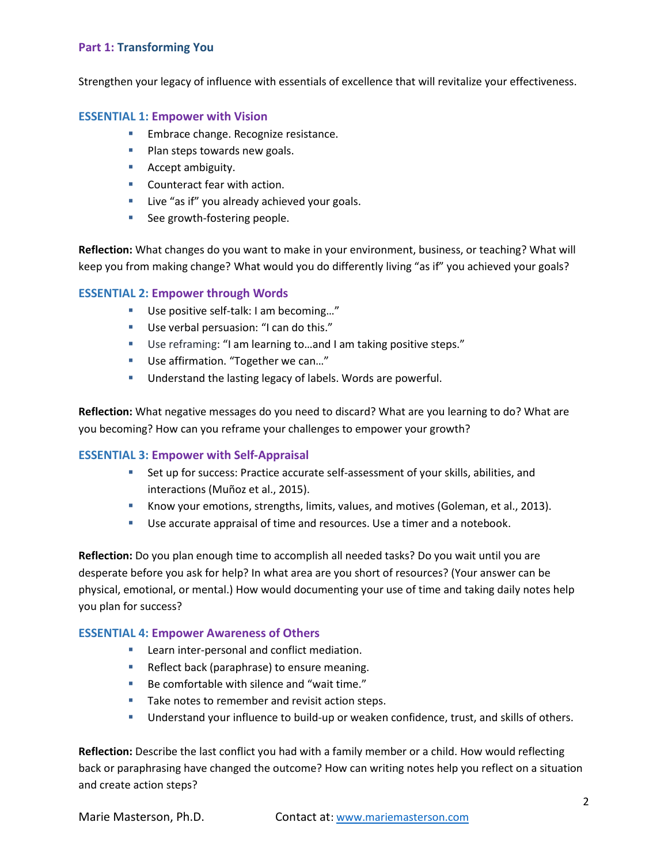## **Part 1: Transforming You**

Strengthen your legacy of influence with essentials of excellence that will revitalize your effectiveness.

#### **ESSENTIAL 1: Empower with Vision**

- **Embrace change. Recognize resistance.**
- **Plan steps towards new goals.**
- **Accept ambiguity.**
- **Counteract fear with action.**
- **Live "as if" you already achieved your goals.**
- See growth-fostering people.

**Reflection:** What changes do you want to make in your environment, business, or teaching? What will keep you from making change? What would you do differently living "as if" you achieved your goals?

## **ESSENTIAL 2: Empower through Words**

- Use positive self-talk: I am becoming..."
- Use verbal persuasion: "I can do this."
- Use reframing: "I am learning to…and I am taking positive steps."
- Use affirmation. "Together we can..."
- **Understand the lasting legacy of labels. Words are powerful.**

**Reflection:** What negative messages do you need to discard? What are you learning to do? What are you becoming? How can you reframe your challenges to empower your growth?

#### **ESSENTIAL 3: Empower with Self-Appraisal**

- Set up for success: Practice accurate self-assessment of your skills, abilities, and interactions (Muñoz et al., 2015).
- Know your emotions, strengths, limits, values, and motives (Goleman, et al., 2013).
- Use accurate appraisal of time and resources. Use a timer and a notebook.

**Reflection:** Do you plan enough time to accomplish all needed tasks? Do you wait until you are desperate before you ask for help? In what area are you short of resources? (Your answer can be physical, emotional, or mental.) How would documenting your use of time and taking daily notes help you plan for success?

#### **ESSENTIAL 4: Empower Awareness of Others**

- **Learn inter-personal and conflict mediation.**
- Reflect back (paraphrase) to ensure meaning.
- Be comfortable with silence and "wait time."
- Take notes to remember and revisit action steps.
- Understand your influence to build-up or weaken confidence, trust, and skills of others.

**Reflection:** Describe the last conflict you had with a family member or a child. How would reflecting back or paraphrasing have changed the outcome? How can writing notes help you reflect on a situation and create action steps?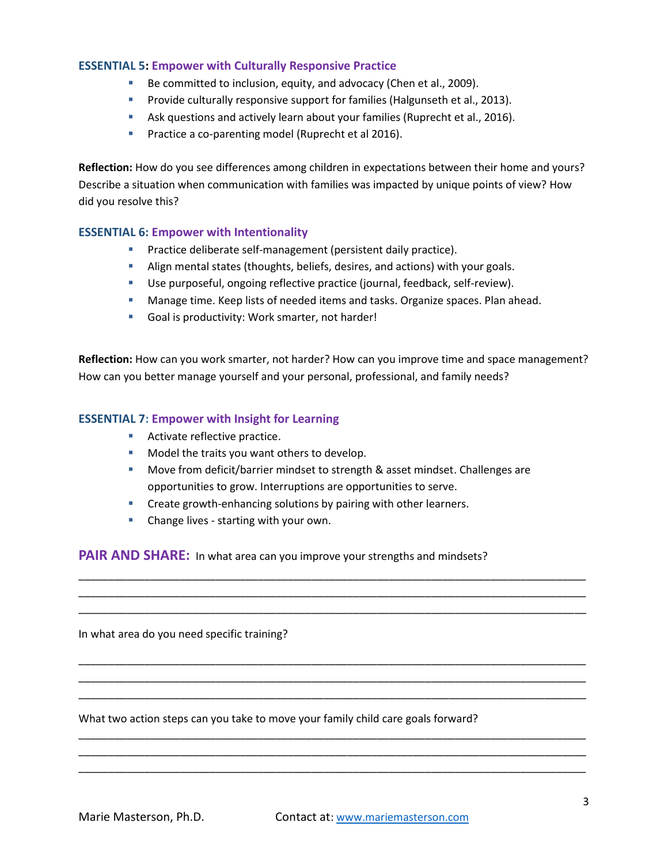## **ESSENTIAL 5: Empower with Culturally Responsive Practice**

- Be committed to inclusion, equity, and advocacy (Chen et al., 2009).
- **Provide culturally responsive support for families (Halgunseth et al., 2013).**
- **Ask questions and actively learn about your families (Ruprecht et al., 2016).**
- **Practice a co-parenting model (Ruprecht et al 2016).**

**Reflection:** How do you see differences among children in expectations between their home and yours? Describe a situation when communication with families was impacted by unique points of view? How did you resolve this?

## **ESSENTIAL 6: Empower with Intentionality**

- **Practice deliberate self-management (persistent daily practice).**
- Align mental states (thoughts, beliefs, desires, and actions) with your goals.
- Use purposeful, ongoing reflective practice (journal, feedback, self-review).
- **Manage time. Keep lists of needed items and tasks. Organize spaces. Plan ahead.**
- Goal is productivity: Work smarter, not harder!

**Reflection:** How can you work smarter, not harder? How can you improve time and space management? How can you better manage yourself and your personal, professional, and family needs?

## **ESSENTIAL 7: Empower with Insight for Learning**

- **Activate reflective practice.**
- **Model the traits you want others to develop.**
- **Move from deficit/barrier mindset to strength & asset mindset. Challenges are** opportunities to grow. Interruptions are opportunities to serve.

\_\_\_\_\_\_\_\_\_\_\_\_\_\_\_\_\_\_\_\_\_\_\_\_\_\_\_\_\_\_\_\_\_\_\_\_\_\_\_\_\_\_\_\_\_\_\_\_\_\_\_\_\_\_\_\_\_\_\_\_\_\_\_\_\_\_\_\_\_\_\_\_\_\_\_\_\_\_\_\_\_\_\_\_\_ \_\_\_\_\_\_\_\_\_\_\_\_\_\_\_\_\_\_\_\_\_\_\_\_\_\_\_\_\_\_\_\_\_\_\_\_\_\_\_\_\_\_\_\_\_\_\_\_\_\_\_\_\_\_\_\_\_\_\_\_\_\_\_\_\_\_\_\_\_\_\_\_\_\_\_\_\_\_\_\_\_\_\_\_\_ \_\_\_\_\_\_\_\_\_\_\_\_\_\_\_\_\_\_\_\_\_\_\_\_\_\_\_\_\_\_\_\_\_\_\_\_\_\_\_\_\_\_\_\_\_\_\_\_\_\_\_\_\_\_\_\_\_\_\_\_\_\_\_\_\_\_\_\_\_\_\_\_\_\_\_\_\_\_\_\_\_\_\_\_\_

\_\_\_\_\_\_\_\_\_\_\_\_\_\_\_\_\_\_\_\_\_\_\_\_\_\_\_\_\_\_\_\_\_\_\_\_\_\_\_\_\_\_\_\_\_\_\_\_\_\_\_\_\_\_\_\_\_\_\_\_\_\_\_\_\_\_\_\_\_\_\_\_\_\_\_\_\_\_\_\_\_\_\_\_\_ \_\_\_\_\_\_\_\_\_\_\_\_\_\_\_\_\_\_\_\_\_\_\_\_\_\_\_\_\_\_\_\_\_\_\_\_\_\_\_\_\_\_\_\_\_\_\_\_\_\_\_\_\_\_\_\_\_\_\_\_\_\_\_\_\_\_\_\_\_\_\_\_\_\_\_\_\_\_\_\_\_\_\_\_\_ \_\_\_\_\_\_\_\_\_\_\_\_\_\_\_\_\_\_\_\_\_\_\_\_\_\_\_\_\_\_\_\_\_\_\_\_\_\_\_\_\_\_\_\_\_\_\_\_\_\_\_\_\_\_\_\_\_\_\_\_\_\_\_\_\_\_\_\_\_\_\_\_\_\_\_\_\_\_\_\_\_\_\_\_\_

\_\_\_\_\_\_\_\_\_\_\_\_\_\_\_\_\_\_\_\_\_\_\_\_\_\_\_\_\_\_\_\_\_\_\_\_\_\_\_\_\_\_\_\_\_\_\_\_\_\_\_\_\_\_\_\_\_\_\_\_\_\_\_\_\_\_\_\_\_\_\_\_\_\_\_\_\_\_\_\_\_\_\_\_\_ \_\_\_\_\_\_\_\_\_\_\_\_\_\_\_\_\_\_\_\_\_\_\_\_\_\_\_\_\_\_\_\_\_\_\_\_\_\_\_\_\_\_\_\_\_\_\_\_\_\_\_\_\_\_\_\_\_\_\_\_\_\_\_\_\_\_\_\_\_\_\_\_\_\_\_\_\_\_\_\_\_\_\_\_\_ \_\_\_\_\_\_\_\_\_\_\_\_\_\_\_\_\_\_\_\_\_\_\_\_\_\_\_\_\_\_\_\_\_\_\_\_\_\_\_\_\_\_\_\_\_\_\_\_\_\_\_\_\_\_\_\_\_\_\_\_\_\_\_\_\_\_\_\_\_\_\_\_\_\_\_\_\_\_\_\_\_\_\_\_\_

- **EXECTE:** Create growth-enhancing solutions by pairing with other learners.
- **Change lives starting with your own.**

**PAIR AND SHARE:** In what area can you improve your strengths and mindsets?

In what area do you need specific training?

What two action steps can you take to move your family child care goals forward?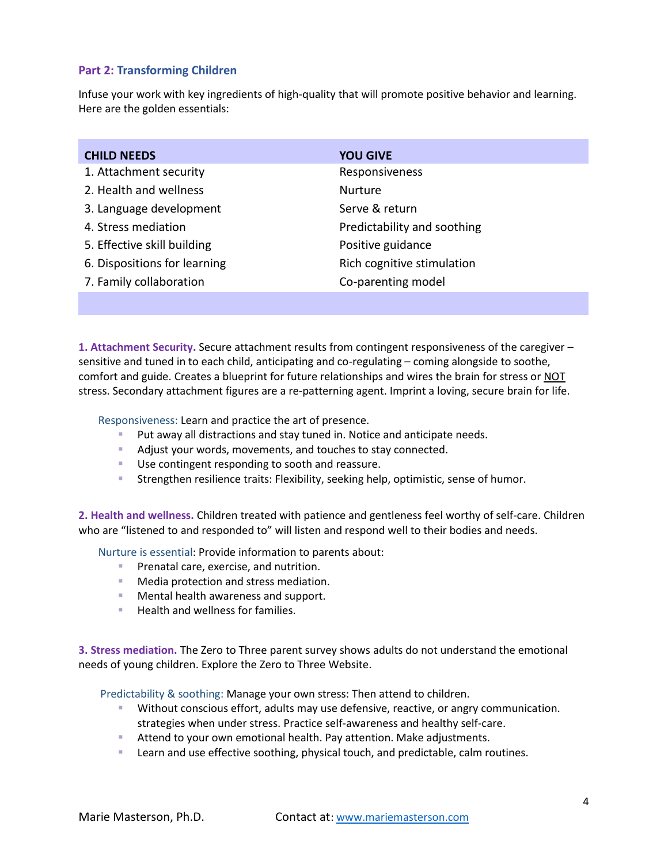# **Part 2: Transforming Children**

Infuse your work with key ingredients of high-quality that will promote positive behavior and learning. Here are the golden essentials:

| <b>CHILD NEEDS</b>           | <b>YOU GIVE</b>             |
|------------------------------|-----------------------------|
| 1. Attachment security       | Responsiveness              |
| 2. Health and wellness       | <b>Nurture</b>              |
| 3. Language development      | Serve & return              |
| 4. Stress mediation          | Predictability and soothing |
| 5. Effective skill building  | Positive guidance           |
| 6. Dispositions for learning | Rich cognitive stimulation  |
| 7. Family collaboration      | Co-parenting model          |

**1. Attachment Security.** Secure attachment results from contingent responsiveness of the caregiver – sensitive and tuned in to each child, anticipating and co-regulating – coming alongside to soothe, comfort and guide. Creates a blueprint for future relationships and wires the brain for stress or NOT stress. Secondary attachment figures are a re-patterning agent. Imprint a loving, secure brain for life.

Responsiveness: Learn and practice the art of presence.

- **Put away all distractions and stay tuned in. Notice and anticipate needs.**
- Adjust your words, movements, and touches to stay connected.
- Use contingent responding to sooth and reassure.
- Strengthen resilience traits: Flexibility, seeking help, optimistic, sense of humor.

**2. Health and wellness.** Children treated with patience and gentleness feel worthy of self-care. Children who are "listened to and responded to" will listen and respond well to their bodies and needs.

Nurture is essential: Provide information to parents about:

- **Prenatal care, exercise, and nutrition.**
- **Media protection and stress mediation.**
- **Mental health awareness and support.**
- Health and wellness for families.

**3. Stress mediation.** The Zero to Three parent survey shows adults do not understand the emotional needs of young children. Explore the Zero to Three Website.

Predictability & soothing: Manage your own stress: Then attend to children.

- **Without conscious effort, adults may use defensive, reactive, or angry communication.** strategies when under stress. Practice self-awareness and healthy self-care.
- **Attend to your own emotional health. Pay attention. Make adjustments.**
- **EXECT** Learn and use effective soothing, physical touch, and predictable, calm routines.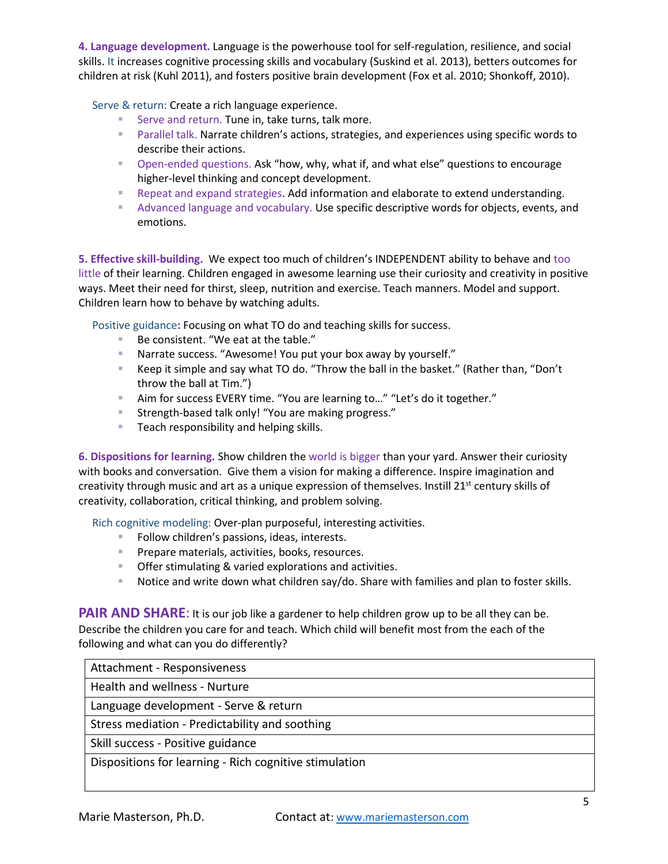**4. Language development.** Language is the powerhouse tool for self-regulation, resilience, and social skills. It increases cognitive processing skills and vocabulary (Suskind et al. 2013), betters outcomes for children at risk (Kuhl 2011), and fosters positive brain development (Fox et al. 2010; Shonkoff, 2010)**.**

Serve & return: Create a rich language experience.

- Serve and return. Tune in, take turns, talk more.
- **Parallel talk. Narrate children's actions, strategies, and experiences using specific words to** describe their actions.
- Open-ended questions. Ask "how, why, what if, and what else" questions to encourage higher-level thinking and concept development.
- **Repeat and expand strategies. Add information and elaborate to extend understanding.**
- **Advanced language and vocabulary. Use specific descriptive words for objects, events, and** emotions.

**5. Effective skill-building.** We expect too much of children's INDEPENDENT ability to behave and too little of their learning. Children engaged in awesome learning use their curiosity and creativity in positive ways. Meet their need for thirst, sleep, nutrition and exercise. Teach manners. Model and support. Children learn how to behave by watching adults.

Positive guidance**:** Focusing on what TO do and teaching skills for success.

- Be consistent. "We eat at the table."
- Narrate success. "Awesome! You put your box away by yourself."
- Keep it simple and say what TO do. "Throw the ball in the basket." (Rather than, "Don't throw the ball at Tim.")
- Aim for success EVERY time. "You are learning to..." "Let's do it together."
- **Strength-based talk only! "You are making progress."**
- **Teach responsibility and helping skills.**

**6. Dispositions for learning.** Show children the world is bigger than your yard. Answer their curiosity with books and conversation. Give them a vision for making a difference. Inspire imagination and creativity through music and art as a unique expression of themselves. Instill 21<sup>st</sup> century skills of creativity, collaboration, critical thinking, and problem solving.

Rich cognitive modeling: Over-plan purposeful, interesting activities.

- Follow children's passions, ideas, interests.
- **Prepare materials, activities, books, resources.**
- Offer stimulating & varied explorations and activities.
- **Notice and write down what children say/do. Share with families and plan to foster skills.**

**PAIR AND SHARE:** It is our job like a gardener to help children grow up to be all they can be. Describe the children you care for and teach. Which child will benefit most from the each of the following and what can you do differently?

| Attachment - Responsiveness                            |
|--------------------------------------------------------|
| Health and wellness - Nurture                          |
| Language development - Serve & return                  |
| Stress mediation - Predictability and soothing         |
| Skill success - Positive guidance                      |
| Dispositions for learning - Rich cognitive stimulation |
|                                                        |